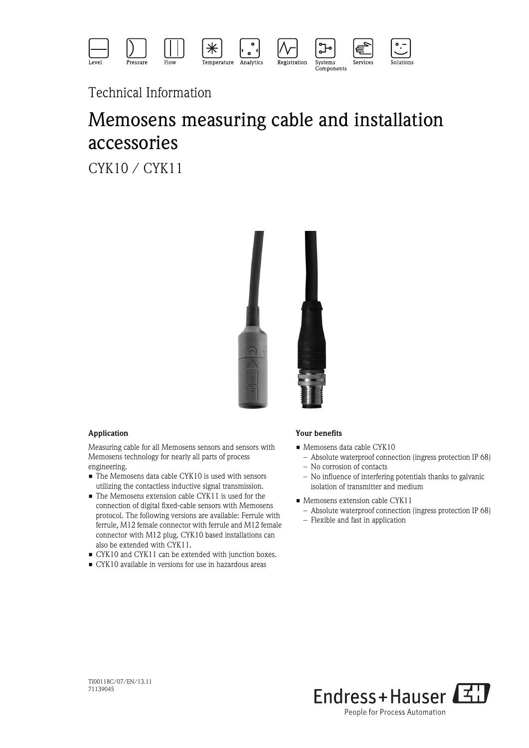

# Technical Information

# Memosens measuring cable and installation accessories

CYK10 / CYK11



## Application

Measuring cable for all Memosens sensors and sensors with Memosens technology for nearly all parts of process engineering.

- The Memosens data cable CYK10 is used with sensors utilizing the contactless inductive signal transmission.
- The Memosens extension cable CYK11 is used for the connection of digital fixed-cable sensors with Memosens protocol. The following versions are available: Ferrule with ferrule, M12 female connector with ferrule and M12 female connector with M12 plug. CYK10 based installations can also be extended with CYK11.
- CYK10 and CYK11 can be extended with junction boxes.
- CYK10 available in versions for use in hazardous areas

## Your benefits

- Memosens data cable CYK10
	- Absolute waterproof connection (ingress protection IP 68) – No corrosion of contacts
	- No influence of interfering potentials thanks to galvanic isolation of transmitter and medium
- Memosens extension cable CYK11
	- Absolute waterproof connection (ingress protection IP 68)
	- Flexible and fast in application

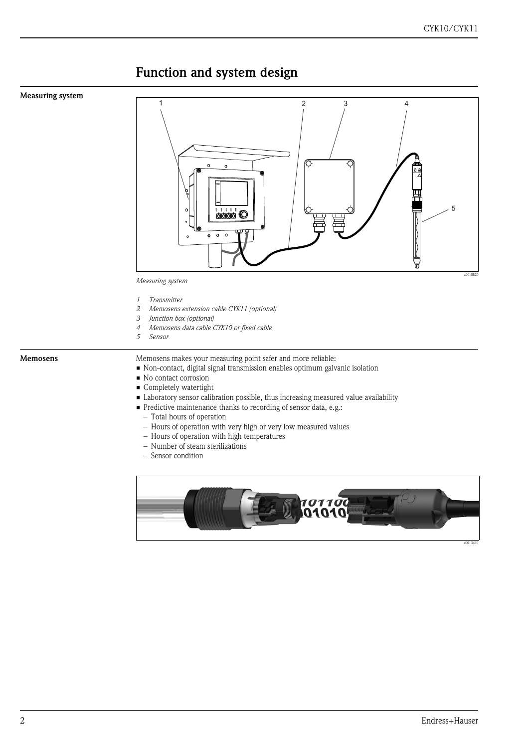## Function and system design

#### Measuring system



*Measuring system*

- *1 Transmitter*
- *2 Memosens extension cable CYK11 (optional)*
- *3 Junction box (optional)*
- *4 Memosens data cable CYK10 or fixed cable*
- *5 Sensor*

Memosens Memosens makes your measuring point safer and more reliable:

- Non-contact, digital signal transmission enables optimum galvanic isolation
- No contact corrosion
- **Completely watertight**
- Laboratory sensor calibration possible, thus increasing measured value availability
- Predictive maintenance thanks to recording of sensor data, e.g.:
	- Total hours of operation
	- Hours of operation with very high or very low measured values
	- Hours of operation with high temperatures
	- Number of steam sterilizations
	- Sensor condition

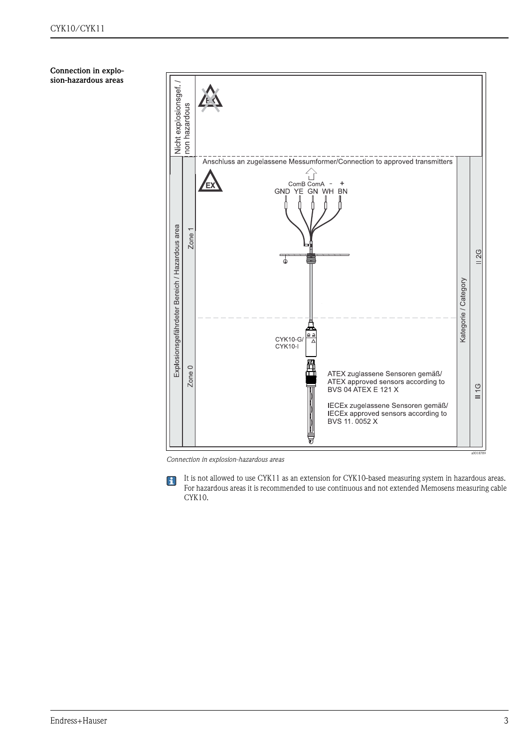Connection in explosion-hazardous areas



*Connection in explosion-hazardous areas*

 $\mathbf{H}$ 

It is not allowed to use CYK11 as an extension for CYK10-based measuring system in hazardous areas. For hazardous areas it is recommended to use continuous and not extended Memosens measuring cable CYK10.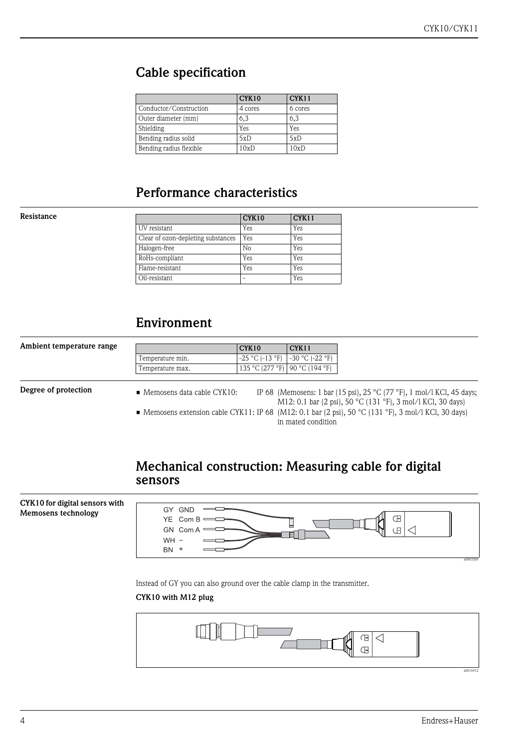## Cable specification

|                         | CYK10   | <b>CYK11</b> |
|-------------------------|---------|--------------|
| Conductor/Construction  | 4 cores | 6 cores      |
| Outer diameter (mm)     | 6,3     | 6,3          |
| Shielding               | Yes     | Yes          |
| Bending radius solid    | 5xD     | 5xD          |
| Bending radius flexible | 10xD    | 10xD         |

## Performance characteristics

#### Resistance

|                                    | CYK10 | CYK11 |
|------------------------------------|-------|-------|
| UV resistant                       | Yes   | Yes   |
| Clear of ozon-depleting substances | Yes   | Yes   |
| Halogen-free                       | No    | Yes   |
| RoHs-compliant                     | Yes   | Yes   |
| Flame-resistant                    | Yes   | Yes   |
| Oil-resistant                      |       | Yes   |

## Environment

| Ambient temperature range |                                           | CYK <sub>10</sub>                | CYK <sub>11</sub>    |                                                                                                      |
|---------------------------|-------------------------------------------|----------------------------------|----------------------|------------------------------------------------------------------------------------------------------|
|                           | Temperature min.                          | $-25 °C$ ( $-13 °F$ )            | $-30$ °C ( $-22$ °F) |                                                                                                      |
|                           | Temperature max.                          | 135 °C (277 °F)   90 °C (194 °F) |                      |                                                                                                      |
|                           |                                           |                                  |                      |                                                                                                      |
| Degree of protection      | $\blacksquare$ Memosens data cable CYK10: |                                  |                      | IP 68 (Memosens: 1 bar (15 psi), 25 °C (77 °F), 1 mol/l KCl, 45 days;                                |
|                           |                                           |                                  |                      | M12: 0.1 bar (2 psi), 50 °C (131 °F), 3 mol/l KCl, 30 days)                                          |
|                           |                                           |                                  |                      | • Memosens extension cable CYK11: IP 68 (M12: 0.1 bar (2 psi), 50 °C (131 °F), 3 mol/l KCl, 30 days) |
|                           |                                           |                                  | in mated condition   |                                                                                                      |

## Mechanical construction: Measuring cable for digital sensors



Instead of GY you can also ground over the cable clamp in the transmitter.

## CYK10 with M12 plug

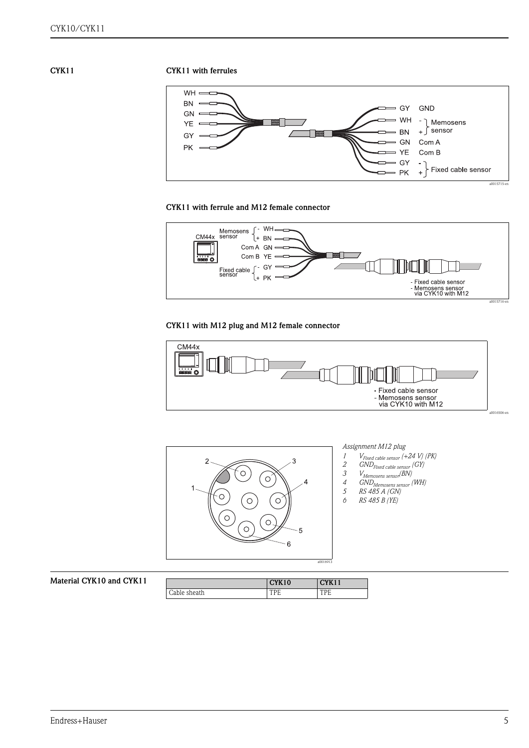#### CYK11 with ferrules



#### CYK11 with ferrule and M12 female connector



## CYK11 with M12 plug and M12 female connector





| and CYK11 |              | CYK10 | CYK11 |
|-----------|--------------|-------|-------|
|           | Cable sheath | TDL   | TPE   |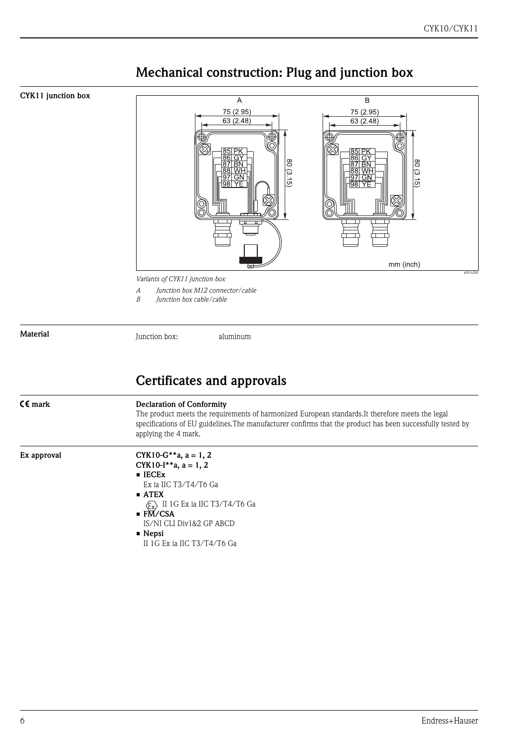

# Mechanical construction: Plug and junction box

*A Junction box M12 connector/cable*

*B Junction box cable/cable*

Material

Junction box: aluminum

# Certificates and approvals

| $C \epsilon$ mark | <b>Declaration of Conformity</b><br>The product meets the requirements of harmonized European standards. It therefore meets the legal<br>specifications of EU guidelines. The manufacturer confirms that the product has been successfully tested by<br>applying the 4 mark.                                     |
|-------------------|------------------------------------------------------------------------------------------------------------------------------------------------------------------------------------------------------------------------------------------------------------------------------------------------------------------|
| Ex approval       | CYK10-G**a, $a = 1, 2$<br>CYK10-I**a, $a = 1, 2$<br>$\blacksquare$ IECE <sub>x</sub><br>Ex ia IIC T3/T4/T6 Ga<br>$\blacksquare$ ATEX<br>II 1G Ex ia IIC T3/T4/T6 Ga<br>$\langle \xi_{\rm X} \rangle$<br>$\blacksquare$ FM/CSA<br>IS/NI CLI Div1&2 GP ABCD<br>$\blacksquare$ Nepsi<br>II 1G Ex ia IIC T3/T4/T6 Ga |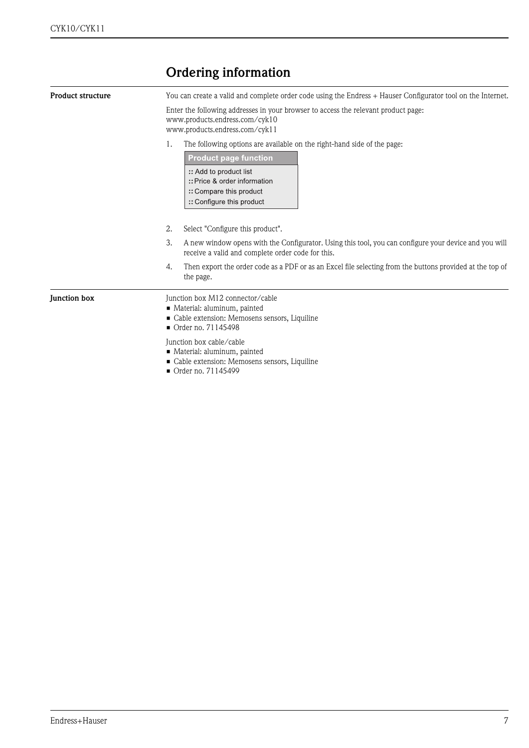# Ordering information

| <b>Product structure</b> | You can create a valid and complete order code using the Endress + Hauser Configurator tool on the Internet.<br>Enter the following addresses in your browser to access the relevant product page:<br>www.products.endress.com/cyk10<br>www.products.endress.com/cyk11 |  |  |  |
|--------------------------|------------------------------------------------------------------------------------------------------------------------------------------------------------------------------------------------------------------------------------------------------------------------|--|--|--|
|                          |                                                                                                                                                                                                                                                                        |  |  |  |
|                          | <b>Product page function</b><br>:: Add to product list<br>:: Price & order information<br>:: Compare this product<br>:: Configure this product                                                                                                                         |  |  |  |
|                          | 2.<br>Select "Configure this product".                                                                                                                                                                                                                                 |  |  |  |
|                          | 3.<br>A new window opens with the Configurator. Using this tool, you can configure your device and you will<br>receive a valid and complete order code for this.                                                                                                       |  |  |  |
|                          | Then export the order code as a PDF or as an Excel file selecting from the buttons provided at the top of<br>4.<br>the page.                                                                                                                                           |  |  |  |
| <b>Iunction box</b>      | Junction box M12 connector/cable<br>Material: aluminum, painted<br>Cable extension: Memosens sensors, Liquiline<br>$\blacksquare$ Order no. 71145498                                                                                                                   |  |  |  |
|                          | Junction box cable/cable<br>• Material: aluminum, painted<br>• Cable extension: Memosens sensors, Liquiline<br>• Order no. 71145499                                                                                                                                    |  |  |  |